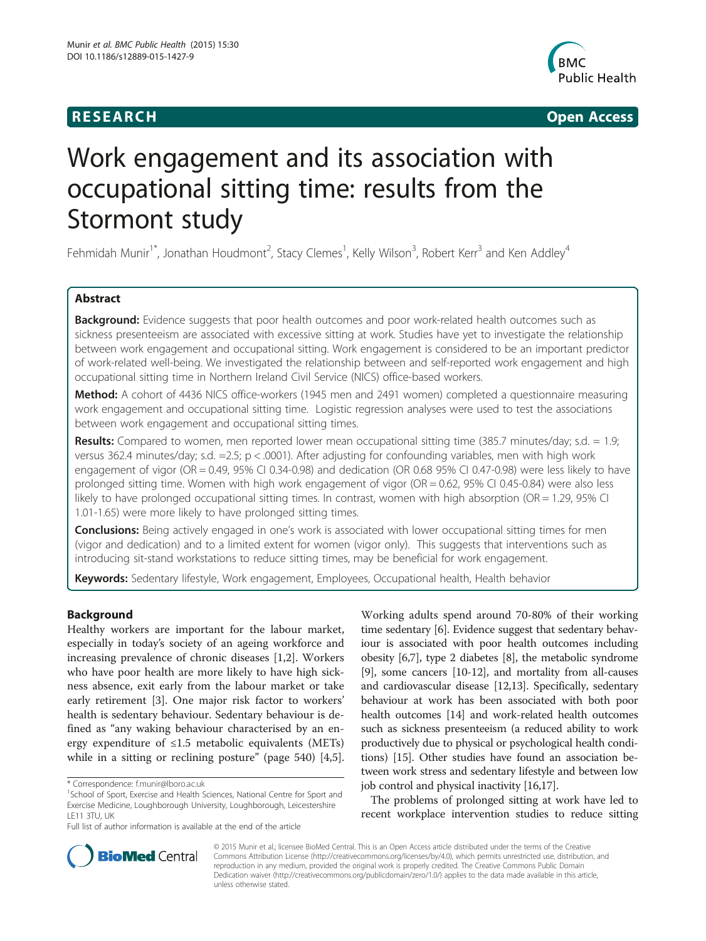## **RESEARCH RESEARCH** *CHECKER CHECKER CHECKER CHECKER CHECKER CHECKER CHECKER CHECKER CHECKER CHECKER CHECKER*



# Work engagement and its association with occupational sitting time: results from the Stormont study

Fehmidah Munir<sup>1\*</sup>, Jonathan Houdmont<sup>2</sup>, Stacy Clemes<sup>1</sup>, Kelly Wilson<sup>3</sup>, Robert Kerr<sup>3</sup> and Ken Addley<sup>4</sup>

## Abstract

Background: Evidence suggests that poor health outcomes and poor work-related health outcomes such as sickness presenteeism are associated with excessive sitting at work. Studies have yet to investigate the relationship between work engagement and occupational sitting. Work engagement is considered to be an important predictor of work-related well-being. We investigated the relationship between and self-reported work engagement and high occupational sitting time in Northern Ireland Civil Service (NICS) office-based workers.

Method: A cohort of 4436 NICS office-workers (1945 men and 2491 women) completed a questionnaire measuring work engagement and occupational sitting time. Logistic regression analyses were used to test the associations between work engagement and occupational sitting times.

Results: Compared to women, men reported lower mean occupational sitting time (385.7 minutes/day; s.d. = 1.9; versus 362.4 minutes/day; s.d. =2.5; p < .0001). After adjusting for confounding variables, men with high work engagement of vigor (OR = 0.49, 95% CI 0.34-0.98) and dedication (OR 0.68 95% CI 0.47-0.98) were less likely to have prolonged sitting time. Women with high work engagement of vigor (OR = 0.62, 95% CI 0.45-0.84) were also less likely to have prolonged occupational sitting times. In contrast, women with high absorption (OR = 1.29, 95% CI 1.01-1.65) were more likely to have prolonged sitting times.

**Conclusions:** Being actively engaged in one's work is associated with lower occupational sitting times for men (vigor and dedication) and to a limited extent for women (vigor only). This suggests that interventions such as introducing sit-stand workstations to reduce sitting times, may be beneficial for work engagement.

Keywords: Sedentary lifestyle, Work engagement, Employees, Occupational health, Health behavior

## Background

Healthy workers are important for the labour market, especially in today's society of an ageing workforce and increasing prevalence of chronic diseases [\[1,2](#page-10-0)]. Workers who have poor health are more likely to have high sickness absence, exit early from the labour market or take early retirement [\[3](#page-10-0)]. One major risk factor to workers' health is sedentary behaviour. Sedentary behaviour is defined as "any waking behaviour characterised by an energy expenditure of  $\leq 1.5$  metabolic equivalents (METs) while in a sitting or reclining posture" (page 540) [\[4,5](#page-10-0)].

Working adults spend around 70-80% of their working time sedentary [\[6](#page-10-0)]. Evidence suggest that sedentary behaviour is associated with poor health outcomes including obesity [\[6,7\]](#page-10-0), type 2 diabetes [\[8\]](#page-10-0), the metabolic syndrome [[9\]](#page-10-0), some cancers [[10](#page-10-0)-[12](#page-10-0)], and mortality from all-causes and cardiovascular disease [[12,13](#page-10-0)]. Specifically, sedentary behaviour at work has been associated with both poor health outcomes [[14](#page-10-0)] and work-related health outcomes such as sickness presenteeism (a reduced ability to work productively due to physical or psychological health conditions) [[15](#page-10-0)]. Other studies have found an association between work stress and sedentary lifestyle and between low job control and physical inactivity [\[16,17](#page-10-0)].

The problems of prolonged sitting at work have led to recent workplace intervention studies to reduce sitting



© 2015 Munir et al.; licensee BioMed Central. This is an Open Access article distributed under the terms of the Creative Commons Attribution License [\(http://creativecommons.org/licenses/by/4.0\)](http://creativecommons.org/licenses/by/4.0), which permits unrestricted use, distribution, and reproduction in any medium, provided the original work is properly credited. The Creative Commons Public Domain Dedication waiver [\(http://creativecommons.org/publicdomain/zero/1.0/](http://creativecommons.org/publicdomain/zero/1.0/)) applies to the data made available in this article, unless otherwise stated.

<sup>\*</sup> Correspondence: [f.munir@lboro.ac.uk](mailto:f.munir@lboro.ac.uk) <sup>1</sup>

 $1$ School of Sport, Exercise and Health Sciences, National Centre for Sport and Exercise Medicine, Loughborough University, Loughborough, Leicestershire LE11 3TU, UK

Full list of author information is available at the end of the article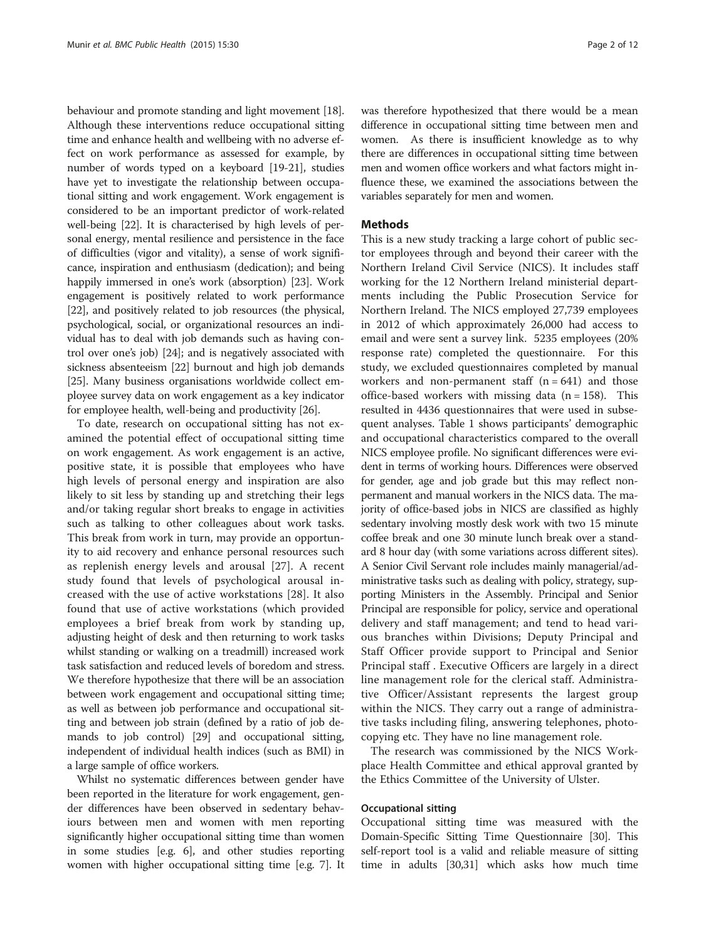behaviour and promote standing and light movement [[18](#page-10-0)]. Although these interventions reduce occupational sitting time and enhance health and wellbeing with no adverse effect on work performance as assessed for example, by number of words typed on a keyboard [\[19-21\]](#page-10-0), studies have yet to investigate the relationship between occupational sitting and work engagement. Work engagement is considered to be an important predictor of work-related well-being [\[22\]](#page-10-0). It is characterised by high levels of personal energy, mental resilience and persistence in the face of difficulties (vigor and vitality), a sense of work significance, inspiration and enthusiasm (dedication); and being happily immersed in one's work (absorption) [\[23](#page-10-0)]. Work engagement is positively related to work performance [[22](#page-10-0)], and positively related to job resources (the physical, psychological, social, or organizational resources an individual has to deal with job demands such as having control over one's job) [\[24\]](#page-10-0); and is negatively associated with sickness absenteeism [\[22](#page-10-0)] burnout and high job demands [[25](#page-10-0)]. Many business organisations worldwide collect employee survey data on work engagement as a key indicator for employee health, well-being and productivity [\[26](#page-10-0)].

To date, research on occupational sitting has not examined the potential effect of occupational sitting time on work engagement. As work engagement is an active, positive state, it is possible that employees who have high levels of personal energy and inspiration are also likely to sit less by standing up and stretching their legs and/or taking regular short breaks to engage in activities such as talking to other colleagues about work tasks. This break from work in turn, may provide an opportunity to aid recovery and enhance personal resources such as replenish energy levels and arousal [[27](#page-10-0)]. A recent study found that levels of psychological arousal increased with the use of active workstations [\[28](#page-10-0)]. It also found that use of active workstations (which provided employees a brief break from work by standing up, adjusting height of desk and then returning to work tasks whilst standing or walking on a treadmill) increased work task satisfaction and reduced levels of boredom and stress. We therefore hypothesize that there will be an association between work engagement and occupational sitting time; as well as between job performance and occupational sitting and between job strain (defined by a ratio of job demands to job control) [\[29\]](#page-10-0) and occupational sitting, independent of individual health indices (such as BMI) in a large sample of office workers.

Whilst no systematic differences between gender have been reported in the literature for work engagement, gender differences have been observed in sedentary behaviours between men and women with men reporting significantly higher occupational sitting time than women in some studies [e.g. 6], and other studies reporting women with higher occupational sitting time [e.g. 7]. It

was therefore hypothesized that there would be a mean difference in occupational sitting time between men and women. As there is insufficient knowledge as to why there are differences in occupational sitting time between men and women office workers and what factors might influence these, we examined the associations between the variables separately for men and women.

#### **Methods**

This is a new study tracking a large cohort of public sector employees through and beyond their career with the Northern Ireland Civil Service (NICS). It includes staff working for the 12 Northern Ireland ministerial departments including the Public Prosecution Service for Northern Ireland. The NICS employed 27,739 employees in 2012 of which approximately 26,000 had access to email and were sent a survey link. 5235 employees (20% response rate) completed the questionnaire. For this study, we excluded questionnaires completed by manual workers and non-permanent staff  $(n = 641)$  and those office-based workers with missing data  $(n = 158)$ . This resulted in 4436 questionnaires that were used in subsequent analyses. Table [1](#page-2-0) shows participants' demographic and occupational characteristics compared to the overall NICS employee profile. No significant differences were evident in terms of working hours. Differences were observed for gender, age and job grade but this may reflect nonpermanent and manual workers in the NICS data. The majority of office-based jobs in NICS are classified as highly sedentary involving mostly desk work with two 15 minute coffee break and one 30 minute lunch break over a standard 8 hour day (with some variations across different sites). A Senior Civil Servant role includes mainly managerial/administrative tasks such as dealing with policy, strategy, supporting Ministers in the Assembly. Principal and Senior Principal are responsible for policy, service and operational delivery and staff management; and tend to head various branches within Divisions; Deputy Principal and Staff Officer provide support to Principal and Senior Principal staff . Executive Officers are largely in a direct line management role for the clerical staff. Administrative Officer/Assistant represents the largest group within the NICS. They carry out a range of administrative tasks including filing, answering telephones, photocopying etc. They have no line management role.

The research was commissioned by the NICS Workplace Health Committee and ethical approval granted by the Ethics Committee of the University of Ulster.

#### Occupational sitting

Occupational sitting time was measured with the Domain-Specific Sitting Time Questionnaire [\[30\]](#page-10-0). This self-report tool is a valid and reliable measure of sitting time in adults [\[30,31\]](#page-10-0) which asks how much time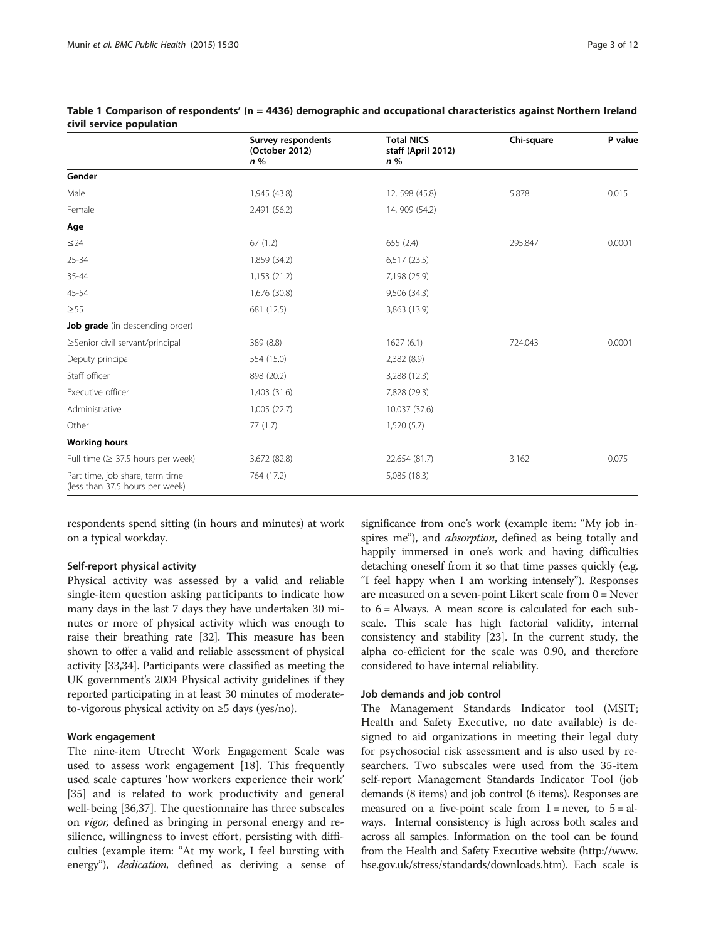|                                                                    | <b>Survey respondents</b><br>(October 2012)<br>n % | <b>Total NICS</b><br>staff (April 2012)<br>n % | Chi-square | P value |
|--------------------------------------------------------------------|----------------------------------------------------|------------------------------------------------|------------|---------|
| Gender                                                             |                                                    |                                                |            |         |
| Male                                                               | 1,945 (43.8)                                       | 12, 598 (45.8)                                 | 5.878      | 0.015   |
| Female                                                             | 2,491 (56.2)                                       | 14, 909 (54.2)                                 |            |         |
| Age                                                                |                                                    |                                                |            |         |
| $\leq$ 24                                                          | 67(1.2)                                            | 655 (2.4)                                      | 295.847    | 0.0001  |
| 25-34                                                              | 1,859 (34.2)                                       | 6,517(23.5)                                    |            |         |
| 35-44                                                              | 1,153 (21.2)                                       | 7,198 (25.9)                                   |            |         |
| 45-54                                                              | 1,676 (30.8)                                       | 9,506 (34.3)                                   |            |         |
| $\geq 55$                                                          | 681 (12.5)                                         | 3,863 (13.9)                                   |            |         |
| Job grade (in descending order)                                    |                                                    |                                                |            |         |
| ≥Senior civil servant/principal                                    | 389 (8.8)                                          | 1627(6.1)                                      | 724.043    | 0.0001  |
| Deputy principal                                                   | 554 (15.0)                                         | 2,382 (8.9)                                    |            |         |
| Staff officer                                                      | 898 (20.2)                                         | 3,288 (12.3)                                   |            |         |
| Executive officer                                                  | 1,403 (31.6)                                       | 7,828 (29.3)                                   |            |         |
| Administrative                                                     | 1,005 (22.7)                                       | 10,037 (37.6)                                  |            |         |
| Other                                                              | 77(1.7)                                            | 1,520(5.7)                                     |            |         |
| <b>Working hours</b>                                               |                                                    |                                                |            |         |
| Full time ( $\geq$ 37.5 hours per week)                            | 3,672 (82.8)                                       | 22,654 (81.7)                                  | 3.162      | 0.075   |
| Part time, job share, term time<br>(less than 37.5 hours per week) | 764 (17.2)                                         | 5,085 (18.3)                                   |            |         |

#### <span id="page-2-0"></span>Table 1 Comparison of respondents' (n = 4436) demographic and occupational characteristics against Northern Ireland civil service population

respondents spend sitting (in hours and minutes) at work on a typical workday.

## Self-report physical activity

Physical activity was assessed by a valid and reliable single-item question asking participants to indicate how many days in the last 7 days they have undertaken 30 minutes or more of physical activity which was enough to raise their breathing rate [\[32\]](#page-10-0). This measure has been shown to offer a valid and reliable assessment of physical activity [\[33,34](#page-10-0)]. Participants were classified as meeting the UK government's 2004 Physical activity guidelines if they reported participating in at least 30 minutes of moderateto-vigorous physical activity on ≥5 days (yes/no).

#### Work engagement

The nine-item Utrecht Work Engagement Scale was used to assess work engagement [[18\]](#page-10-0). This frequently used scale captures 'how workers experience their work' [[35\]](#page-10-0) and is related to work productivity and general well-being [[36,37\]](#page-10-0). The questionnaire has three subscales on vigor, defined as bringing in personal energy and resilience, willingness to invest effort, persisting with difficulties (example item: "At my work, I feel bursting with energy"), dedication, defined as deriving a sense of significance from one's work (example item: "My job inspires me"), and *absorption*, defined as being totally and happily immersed in one's work and having difficulties detaching oneself from it so that time passes quickly (e.g. "I feel happy when I am working intensely"). Responses are measured on a seven-point Likert scale from 0 = Never to 6 = Always. A mean score is calculated for each subscale. This scale has high factorial validity, internal consistency and stability [\[23](#page-10-0)]. In the current study, the alpha co-efficient for the scale was 0.90, and therefore considered to have internal reliability.

#### Job demands and job control

The Management Standards Indicator tool (MSIT; Health and Safety Executive, no date available) is designed to aid organizations in meeting their legal duty for psychosocial risk assessment and is also used by researchers. Two subscales were used from the 35-item self-report Management Standards Indicator Tool (job demands (8 items) and job control (6 items). Responses are measured on a five-point scale from  $1 =$  never, to  $5 =$  always. Internal consistency is high across both scales and across all samples. Information on the tool can be found from the Health and Safety Executive website ([http://www.](http://www.hse.gov.uk/stress/standards/downloads.htm) [hse.gov.uk/stress/standards/downloads.htm](http://www.hse.gov.uk/stress/standards/downloads.htm)). Each scale is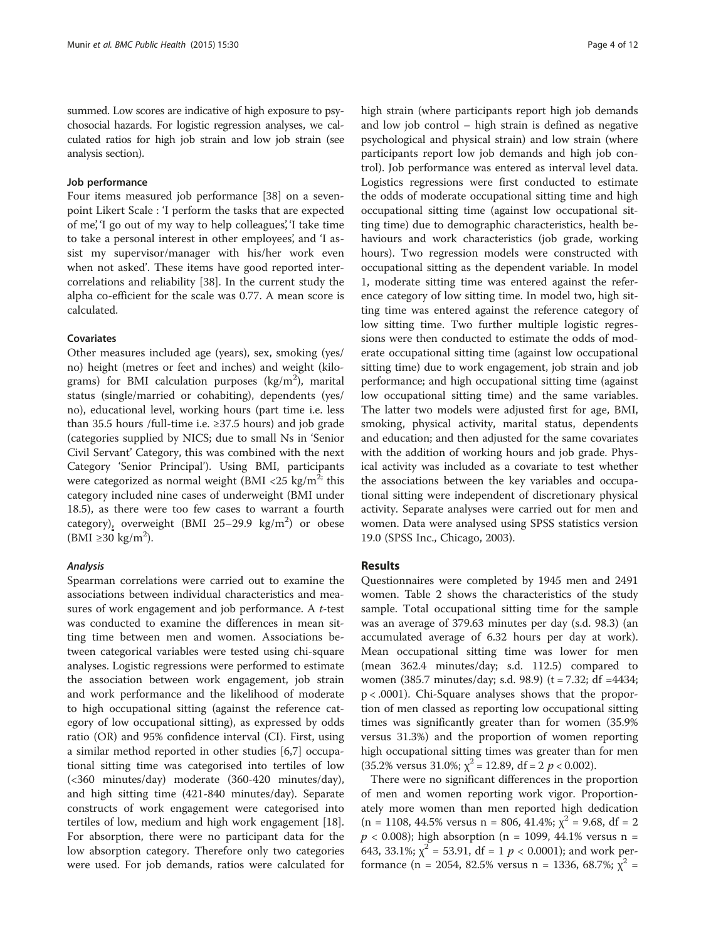summed. Low scores are indicative of high exposure to psychosocial hazards. For logistic regression analyses, we calculated ratios for high job strain and low job strain (see analysis section).

#### Job performance

Four items measured job performance [[38](#page-11-0)] on a sevenpoint Likert Scale : 'I perform the tasks that are expected of me', 'I go out of my way to help colleagues', 'I take time to take a personal interest in other employees', and 'I assist my supervisor/manager with his/her work even when not asked'. These items have good reported intercorrelations and reliability [\[38](#page-11-0)]. In the current study the alpha co-efficient for the scale was 0.77. A mean score is calculated.

#### Covariates

Other measures included age (years), sex, smoking (yes/ no) height (metres or feet and inches) and weight (kilograms) for BMI calculation purposes (kg/m<sup>2</sup>), marital status (single/married or cohabiting), dependents (yes/ no), educational level, working hours (part time i.e. less than 35.5 hours /full-time i.e. ≥37.5 hours) and job grade (categories supplied by NICS; due to small Ns in 'Senior Civil Servant' Category, this was combined with the next Category 'Senior Principal'). Using BMI, participants were categorized as normal weight (BMI <25 kg/m<sup>2;</sup> this category included nine cases of underweight (BMI under 18.5), as there were too few cases to warrant a fourth category), overweight (BMI  $25-29.9$  kg/m<sup>2</sup>) or obese  $(BMI \ge 30 \text{ kg/m}^2).$ 

#### Analysis

Spearman correlations were carried out to examine the associations between individual characteristics and measures of work engagement and job performance. A t-test was conducted to examine the differences in mean sitting time between men and women. Associations between categorical variables were tested using chi-square analyses. Logistic regressions were performed to estimate the association between work engagement, job strain and work performance and the likelihood of moderate to high occupational sitting (against the reference category of low occupational sitting), as expressed by odds ratio (OR) and 95% confidence interval (CI). First, using a similar method reported in other studies [[6,7\]](#page-10-0) occupational sitting time was categorised into tertiles of low (<360 minutes/day) moderate (360-420 minutes/day), and high sitting time (421-840 minutes/day). Separate constructs of work engagement were categorised into tertiles of low, medium and high work engagement [\[18](#page-10-0)]. For absorption, there were no participant data for the low absorption category. Therefore only two categories were used. For job demands, ratios were calculated for high strain (where participants report high job demands and low job control – high strain is defined as negative psychological and physical strain) and low strain (where participants report low job demands and high job control). Job performance was entered as interval level data. Logistics regressions were first conducted to estimate the odds of moderate occupational sitting time and high occupational sitting time (against low occupational sitting time) due to demographic characteristics, health behaviours and work characteristics (job grade, working hours). Two regression models were constructed with occupational sitting as the dependent variable. In model 1, moderate sitting time was entered against the reference category of low sitting time. In model two, high sitting time was entered against the reference category of low sitting time. Two further multiple logistic regressions were then conducted to estimate the odds of moderate occupational sitting time (against low occupational sitting time) due to work engagement, job strain and job performance; and high occupational sitting time (against low occupational sitting time) and the same variables. The latter two models were adjusted first for age, BMI, smoking, physical activity, marital status, dependents and education; and then adjusted for the same covariates with the addition of working hours and job grade. Physical activity was included as a covariate to test whether the associations between the key variables and occupational sitting were independent of discretionary physical activity. Separate analyses were carried out for men and women. Data were analysed using SPSS statistics version 19.0 (SPSS Inc., Chicago, 2003).

## Results

Questionnaires were completed by 1945 men and 2491 women. Table [2](#page-4-0) shows the characteristics of the study sample. Total occupational sitting time for the sample was an average of 379.63 minutes per day (s.d. 98.3) (an accumulated average of 6.32 hours per day at work). Mean occupational sitting time was lower for men (mean 362.4 minutes/day; s.d. 112.5) compared to women (385.7 minutes/day; s.d. 98.9) (t = 7.32; df =4434; p < .0001). Chi-Square analyses shows that the proportion of men classed as reporting low occupational sitting times was significantly greater than for women (35.9% versus 31.3%) and the proportion of women reporting high occupational sitting times was greater than for men  $(35.2\% \text{ versus } 31.0\%; \chi^2 = 12.89, \text{ df} = 2 p < 0.002).$ 

There were no significant differences in the proportion of men and women reporting work vigor. Proportionately more women than men reported high dedication  $(n = 1108, 44.5\% \text{ versus } n = 806, 41.4\%; \chi^2 = 9.68, df = 2$  $p < 0.008$ ); high absorption (n = 1099, 44.1% versus n = 643, 33.1%;  $\chi^2$  = 53.91, df = 1 *p* < 0.0001); and work performance (n = 2054, 82.5% versus n = 1336, 68.7%;  $\chi^2$  =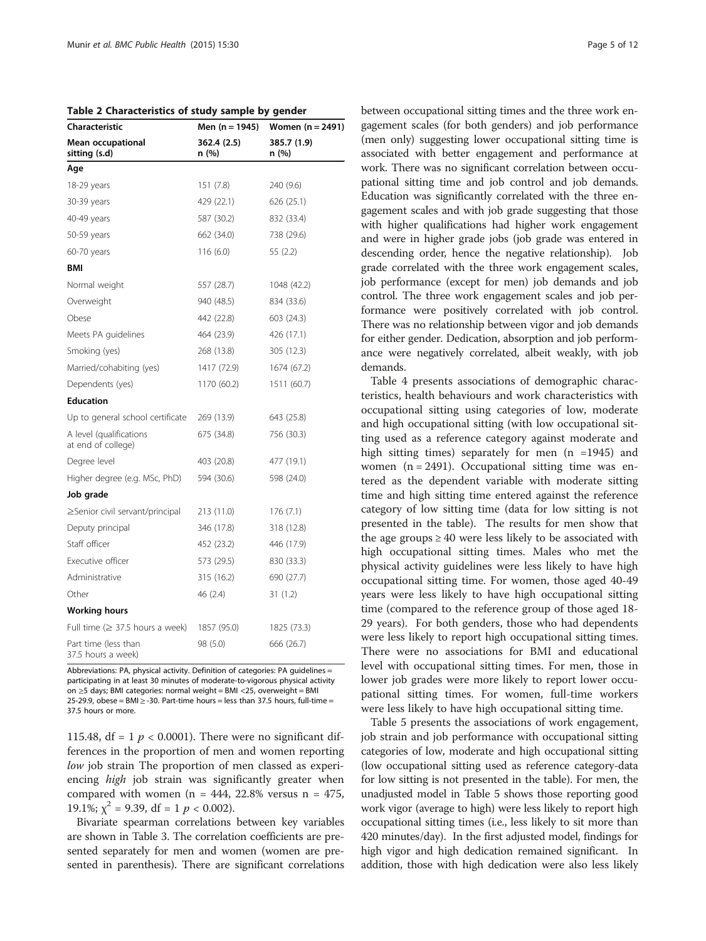<span id="page-4-0"></span>Table 2 Characteristics of study sample by gender

| Characteristic                                | Men (n = 1945)       | Women (n = 2491)     |  |  |
|-----------------------------------------------|----------------------|----------------------|--|--|
| Mean occupational<br>sitting (s.d)            | 362.4 (2.5)<br>n (%) | 385.7 (1.9)<br>n (%) |  |  |
| Age                                           |                      |                      |  |  |
| 18-29 years                                   | 151 (7.8)            | 240 (9.6)            |  |  |
| 30-39 years                                   | 429 (22.1)           | 626 (25.1)           |  |  |
| 40-49 years                                   | 587 (30.2)           | 832 (33.4)           |  |  |
| 50-59 years                                   | 662 (34.0)           | 738 (29.6)           |  |  |
| 60-70 years                                   | 116(6.0)             | 55 (2.2)             |  |  |
| BMI                                           |                      |                      |  |  |
| Normal weight                                 | 557 (28.7)           | 1048 (42.2)          |  |  |
| Overweight                                    | 940 (48.5)           | 834 (33.6)           |  |  |
| Obese                                         | 442 (22.8)           | 603 (24.3)           |  |  |
| Meets PA guidelines                           | 464 (23.9)           | 426 (17.1)           |  |  |
| Smoking (yes)                                 | 268 (13.8)           | 305 (12.3)           |  |  |
| Married/cohabiting (yes)                      | 1417 (72.9)          | 1674 (67.2)          |  |  |
| Dependents (yes)                              | 1170 (60.2)          | 1511 (60.7)          |  |  |
| <b>Education</b>                              |                      |                      |  |  |
| Up to general school certificate              | 269 (13.9)           | 643 (25.8)           |  |  |
| A level (qualifications<br>at end of college) | 675 (34.8)           | 756 (30.3)           |  |  |
| Degree level                                  | 403 (20.8)           | 477 (19.1)           |  |  |
| Higher degree (e.g. MSc, PhD)                 | 594 (30.6)           | 598 (24.0)           |  |  |
| Job grade                                     |                      |                      |  |  |
| ≥Senior civil servant/principal               | 213 (11.0)           | 176(7.1)             |  |  |
| Deputy principal                              | 346 (17.8)           | 318 (12.8)           |  |  |
| Staff officer                                 | 452 (23.2)           | 446 (17.9)           |  |  |
| Executive officer                             | 573 (29.5)           | 830 (33.3)           |  |  |
| Administrative                                | 315 (16.2)           | 690 (27.7)           |  |  |
| Other                                         | 46 (2.4)             | 31 (1.2)             |  |  |
| <b>Working hours</b>                          |                      |                      |  |  |
| Full time ( $\geq$ 37.5 hours a week)         | 1857 (95.0)          | 1825 (73.3)          |  |  |
| Part time (less than<br>37.5 hours a week)    | 98 (5.0)             | 666 (26.7)           |  |  |

Abbreviations: PA, physical activity. Definition of categories: PA guidelines = participating in at least 30 minutes of moderate-to-vigorous physical activity on ≥5 days; BMI categories: normal weight = BMI <25, overweight = BMI 25-29.9, obese =  $BMI > -30$ . Part-time hours = less than 37.5 hours, full-time = 37.5 hours or more.

115.48, df = 1  $p$  < 0.0001). There were no significant differences in the proportion of men and women reporting low job strain The proportion of men classed as experiencing *high* job strain was significantly greater when compared with women ( $n = 444$ , 22.8% versus  $n = 475$ , 19.1%;  $\chi^2$  = 9.39, df = 1 *p* < 0.002).

Bivariate spearman correlations between key variables are shown in Table [3.](#page-5-0) The correlation coefficients are presented separately for men and women (women are presented in parenthesis). There are significant correlations

between occupational sitting times and the three work engagement scales (for both genders) and job performance (men only) suggesting lower occupational sitting time is associated with better engagement and performance at work. There was no significant correlation between occupational sitting time and job control and job demands. Education was significantly correlated with the three engagement scales and with job grade suggesting that those with higher qualifications had higher work engagement and were in higher grade jobs (job grade was entered in descending order, hence the negative relationship). Job grade correlated with the three work engagement scales, job performance (except for men) job demands and job control. The three work engagement scales and job performance were positively correlated with job control. There was no relationship between vigor and job demands for either gender. Dedication, absorption and job performance were negatively correlated, albeit weakly, with job demands.

Table [4](#page-6-0) presents associations of demographic characteristics, health behaviours and work characteristics with occupational sitting using categories of low, moderate and high occupational sitting (with low occupational sitting used as a reference category against moderate and high sitting times) separately for men (n =1945) and women  $(n = 2491)$ . Occupational sitting time was entered as the dependent variable with moderate sitting time and high sitting time entered against the reference category of low sitting time (data for low sitting is not presented in the table). The results for men show that the age groups  $\geq 40$  were less likely to be associated with high occupational sitting times. Males who met the physical activity guidelines were less likely to have high occupational sitting time. For women, those aged 40-49 years were less likely to have high occupational sitting time (compared to the reference group of those aged 18- 29 years). For both genders, those who had dependents were less likely to report high occupational sitting times. There were no associations for BMI and educational level with occupational sitting times. For men, those in lower job grades were more likely to report lower occupational sitting times. For women, full-time workers were less likely to have high occupational sitting time.

Table [5](#page-7-0) presents the associations of work engagement, job strain and job performance with occupational sitting categories of low, moderate and high occupational sitting (low occupational sitting used as reference category-data for low sitting is not presented in the table). For men, the unadjusted model in Table [5](#page-7-0) shows those reporting good work vigor (average to high) were less likely to report high occupational sitting times (i.e., less likely to sit more than 420 minutes/day). In the first adjusted model, findings for high vigor and high dedication remained significant. In addition, those with high dedication were also less likely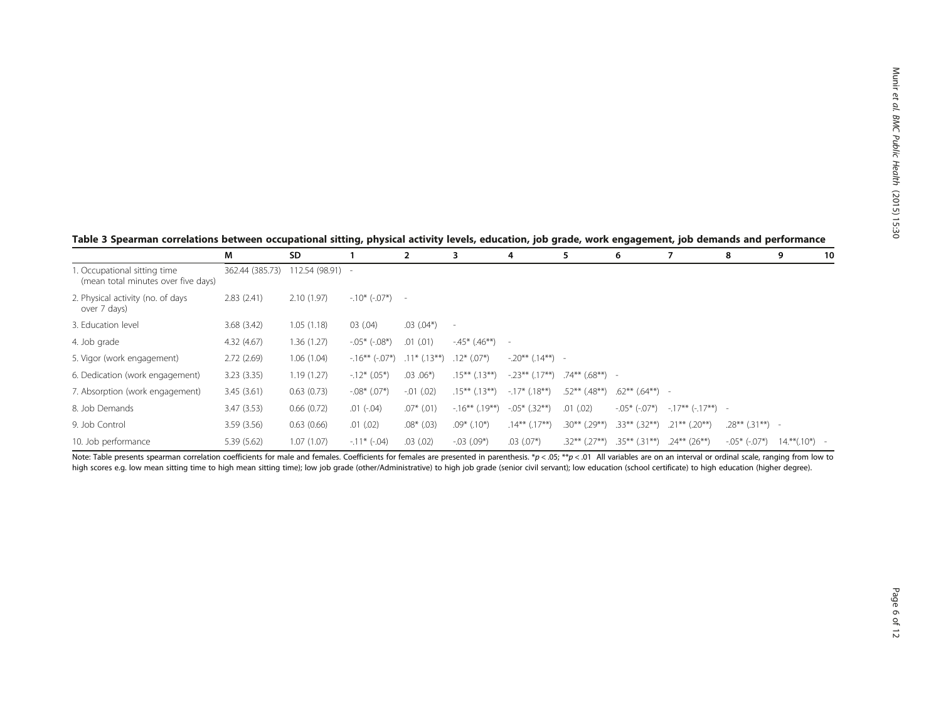|                                                                     | , , , , , , , , , , , ,<br><u> 3. – – – ,</u><br>,,,, |                  |                           |                |                          |                          |                    |                       |                       |                       |                 |    |
|---------------------------------------------------------------------|-------------------------------------------------------|------------------|---------------------------|----------------|--------------------------|--------------------------|--------------------|-----------------------|-----------------------|-----------------------|-----------------|----|
|                                                                     | M                                                     | <b>SD</b>        |                           | $\overline{2}$ | 3                        | 4                        | 5                  | 6                     |                       | 8                     | 9               | 10 |
| 1. Occupational sitting time<br>(mean total minutes over five days) | 362.44 (385.73)                                       | 112.54 (98.91) - |                           |                |                          |                          |                    |                       |                       |                       |                 |    |
| 2. Physical activity (no. of days<br>over 7 days)                   | 2.83(2.41)                                            | 2.10(1.97)       | $-10^{*}$ ( $-07^{*}$ ) - |                |                          |                          |                    |                       |                       |                       |                 |    |
| 3. Education level                                                  | 3.68(3.42)                                            | 1.05(1.18)       | 03(.04)                   | $.03(.04*)$    | $\overline{\phantom{a}}$ |                          |                    |                       |                       |                       |                 |    |
| 4. Job grade                                                        | 4.32(4.67)                                            | 1.36 (1.27)      | $-.05*$ ( $-.08*$ )       | $.01$ $(.01)$  | $-45*$ (.46**)           | $\overline{\phantom{a}}$ |                    |                       |                       |                       |                 |    |
| 5. Vigor (work engagement)                                          | 2.72(2.69)                                            | 1.06(1.04)       | $-.16***(-07*)$           | $.11*$ (.13**) | $.12*(.07*)$             | $-.20***$ $(.14***)$ -   |                    |                       |                       |                       |                 |    |
| 6. Dedication (work engagement)                                     | 3.23(3.35)                                            | 1.19(1.27)       | $-.12*$ (.05*)            | $.03.06*)$     | $.15***$ $(.13**)$       | $-.23***$ (.17**)        | $.74***$ (.68**) - |                       |                       |                       |                 |    |
| 7. Absorption (work engagement)                                     | 3.45(3.61)                                            | 0.63(0.73)       | $-.08*(.07*)$             | $-01$ (.02)    | $.15***$ $(.13**)$       | $(.18**)$<br>$-17*$      | $.52***$ (.48**)   | $.62***$ $(.64***)$ - |                       |                       |                 |    |
| 8. Job Demands                                                      | 3.47(3.53)                                            | 0.66(0.72)       | $.01(-.04)$               | $.07*$ $(.01)$ | $-16***$ (.19**)         | $(.32**)$<br>$-0.05*$    | $.01$ $(.02)$      | $-.05*$ ( $-.07*$ )   | $-17**$ ( $-17**$ ) - |                       |                 |    |
| 9. Job Control                                                      | 3.59(3.56)                                            | 0.63(0.66)       | .01(.02)                  | $.08*$ $(.03)$ | $.09*$ $(.10*)$          | $.14***$ $(.17**)$       | $.30***$ (.29**)   | $.33***$ $(.32**)$    | $.21***$ (.20**)      | $.28***$ $(.31***)$ - |                 |    |
| 10. Job performance                                                 | 5.39(5.62)                                            | 1.07(1.07)       | $-.11*$ (-.04)            | $.03$ $(.02)$  | $-.03$ (.09*)            | $.03$ $(.07*)$           | $.32***$ (.27**)   | $.35***$ $(.31**)$    | $.24***$ (26**)       | $-.05*$ ( $-.07*$ )   | $14.**(.10*)$ - |    |

<span id="page-5-0"></span>Table 3 Spearman correlations between occupational sitting, physical activity levels, education, job grade, work engagement, job demands and performance

Note: Table presents spearman correlation coefficients for male and females. Coefficients for females are presented in parenthesis. \*p < .05; \*\*p < .01 All variables are on an interval or ordinal scale, ranging from low to high scores e.g. low mean sitting time to high mean sitting time); low job grade (other/Administrative) to high job grade (senior civil servant); low education (school certificate) to high education (higher degree).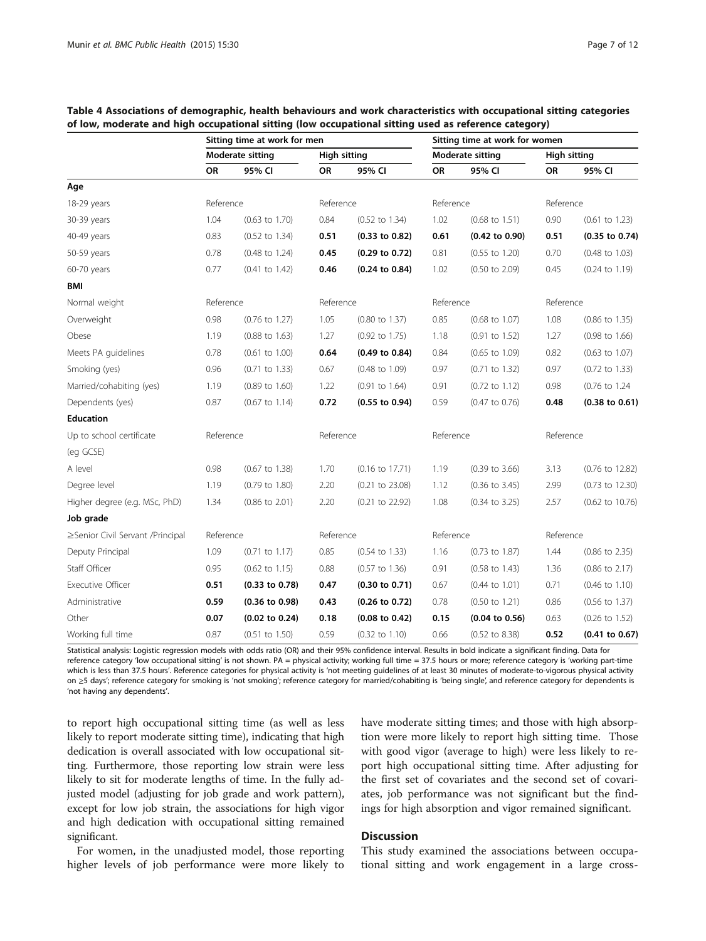|                                  | Sitting time at work for men |                           |                     |                           | Sitting time at work for women |                           |                     |                            |  |
|----------------------------------|------------------------------|---------------------------|---------------------|---------------------------|--------------------------------|---------------------------|---------------------|----------------------------|--|
|                                  |                              | <b>Moderate sitting</b>   | <b>High sitting</b> |                           |                                | <b>Moderate sitting</b>   | <b>High sitting</b> |                            |  |
|                                  | OR                           | 95% CI                    | OR                  | 95% CI                    | OR                             | 95% CI                    | OR                  | 95% CI                     |  |
| Age                              |                              |                           |                     |                           |                                |                           |                     |                            |  |
| 18-29 years                      | Reference                    |                           | Reference           |                           | Reference                      |                           | Reference           |                            |  |
| 30-39 years                      | 1.04                         | $(0.63$ to $1.70)$        | 0.84                | $(0.52 \text{ to } 1.34)$ | 1.02                           | $(0.68 \text{ to } 1.51)$ | 0.90                | $(0.61 \text{ to } 1.23)$  |  |
| 40-49 years                      | 0.83                         | $(0.52 \text{ to } 1.34)$ | 0.51                | $(0.33$ to $0.82)$        | 0.61                           | $(0.42 \text{ to } 0.90)$ | 0.51                | $(0.35$ to $0.74)$         |  |
| 50-59 years                      | 0.78                         | $(0.48 \text{ to } 1.24)$ | 0.45                | $(0.29$ to $0.72)$        | 0.81                           | $(0.55 \text{ to } 1.20)$ | 0.70                | $(0.48 \text{ to } 1.03)$  |  |
| 60-70 years                      | 0.77                         | $(0.41$ to $1.42)$        | 0.46                | $(0.24$ to $0.84)$        | 1.02                           | $(0.50 \text{ to } 2.09)$ | 0.45                | $(0.24 \text{ to } 1.19)$  |  |
| BMI                              |                              |                           |                     |                           |                                |                           |                     |                            |  |
| Normal weight                    | Reference                    |                           | Reference           |                           | Reference                      |                           | Reference           |                            |  |
| Overweight                       | 0.98                         | $(0.76 \text{ to } 1.27)$ | 1.05                | $(0.80 \text{ to } 1.37)$ | 0.85                           | $(0.68 \text{ to } 1.07)$ | 1.08                | $(0.86 \text{ to } 1.35)$  |  |
| Obese                            | 1.19                         | $(0.88 \text{ to } 1.63)$ | 1.27                | $(0.92 \text{ to } 1.75)$ | 1.18                           | $(0.91$ to $1.52)$        | 1.27                | $(0.98 \text{ to } 1.66)$  |  |
| Meets PA guidelines              | 0.78                         | $(0.61$ to $1.00)$        | 0.64                | $(0.49 \text{ to } 0.84)$ | 0.84                           | $(0.65 \text{ to } 1.09)$ | 0.82                | $(0.63 \text{ to } 1.07)$  |  |
| Smoking (yes)                    | 0.96                         | $(0.71$ to $1.33)$        | 0.67                | $(0.48 \text{ to } 1.09)$ | 0.97                           | $(0.71$ to $1.32)$        | 0.97                | $(0.72 \text{ to } 1.33)$  |  |
| Married/cohabiting (yes)         | 1.19                         | $(0.89 \text{ to } 1.60)$ | 1.22                | $(0.91$ to $1.64)$        | 0.91                           | $(0.72 \text{ to } 1.12)$ | 0.98                | (0.76 to 1.24              |  |
| Dependents (yes)                 | 0.87                         | $(0.67 \text{ to } 1.14)$ | 0.72                | $(0.55$ to $0.94)$        | 0.59                           | $(0.47 \text{ to } 0.76)$ | 0.48                | $(0.38 \text{ to } 0.61)$  |  |
| <b>Education</b>                 |                              |                           |                     |                           |                                |                           |                     |                            |  |
| Up to school certificate         | Reference                    |                           | Reference           |                           | Reference                      |                           | Reference           |                            |  |
| (eg GCSE)                        |                              |                           |                     |                           |                                |                           |                     |                            |  |
| A level                          | 0.98                         | $(0.67 \text{ to } 1.38)$ | 1.70                | (0.16 to 17.71)           | 1.19                           | $(0.39 \text{ to } 3.66)$ | 3.13                | $(0.76 \text{ to } 12.82)$ |  |
| Degree level                     | 1.19                         | $(0.79 \text{ to } 1.80)$ | 2.20                | $(0.21$ to $23.08)$       | 1.12                           | $(0.36 \text{ to } 3.45)$ | 2.99                | $(0.73 \text{ to } 12.30)$ |  |
| Higher degree (e.g. MSc, PhD)    | 1.34                         | $(0.86 \text{ to } 2.01)$ | 2.20                | $(0.21$ to 22.92)         | 1.08                           | $(0.34 \text{ to } 3.25)$ | 2.57                | $(0.62 \text{ to } 10.76)$ |  |
| Job grade                        |                              |                           |                     |                           |                                |                           |                     |                            |  |
| ≥Senior Civil Servant /Principal | Reference                    |                           | Reference           |                           | Reference                      |                           | Reference           |                            |  |
| Deputy Principal                 | 1.09                         | (0.71 to 1.17)            | 0.85                | $(0.54 \text{ to } 1.33)$ | 1.16                           | $(0.73 \text{ to } 1.87)$ | 1.44                | $(0.86 \text{ to } 2.35)$  |  |
| Staff Officer                    | 0.95                         | $(0.62 \text{ to } 1.15)$ | 0.88                | $(0.57$ to 1.36)          | 0.91                           | $(0.58 \text{ to } 1.43)$ | 1.36                | $(0.86 \text{ to } 2.17)$  |  |
| <b>Executive Officer</b>         | 0.51                         | $(0.33 \text{ to } 0.78)$ | 0.47                | $(0.30 \text{ to } 0.71)$ | 0.67                           | $(0.44 \text{ to } 1.01)$ | 0.71                | $(0.46 \text{ to } 1.10)$  |  |
| Administrative                   | 0.59                         | $(0.36 \text{ to } 0.98)$ | 0.43                | $(0.26 \text{ to } 0.72)$ | 0.78                           | $(0.50 \text{ to } 1.21)$ | 0.86                | $(0.56 \text{ to } 1.37)$  |  |
| Other                            | 0.07                         | $(0.02 \text{ to } 0.24)$ | 0.18                | $(0.08 \text{ to } 0.42)$ | 0.15                           | $(0.04 \text{ to } 0.56)$ | 0.63                | $(0.26 \text{ to } 1.52)$  |  |
| Working full time                | 0.87                         | $(0.51$ to $1.50)$        | 0.59                | $(0.32 \text{ to } 1.10)$ | 0.66                           | $(0.52 \text{ to } 8.38)$ | 0.52                | $(0.41$ to $0.67)$         |  |

<span id="page-6-0"></span>Table 4 Associations of demographic, health behaviours and work characteristics with occupational sitting categories of low, moderate and high occupational sitting (low occupational sitting used as reference category)

Statistical analysis: Logistic regression models with odds ratio (OR) and their 95% confidence interval. Results in bold indicate a significant finding. Data for reference category 'low occupational sitting' is not shown. PA = physical activity; working full time = 37.5 hours or more; reference category is 'working part-time which is less than 37.5 hours'. Reference categories for physical activity is 'not meeting guidelines of at least 30 minutes of moderate-to-vigorous physical activity on ≥5 days'; reference category for smoking is 'not smoking'; reference category for married/cohabiting is 'being single', and reference category for dependents is 'not having any dependents'.

to report high occupational sitting time (as well as less likely to report moderate sitting time), indicating that high dedication is overall associated with low occupational sitting. Furthermore, those reporting low strain were less likely to sit for moderate lengths of time. In the fully adjusted model (adjusting for job grade and work pattern), except for low job strain, the associations for high vigor and high dedication with occupational sitting remained significant.

For women, in the unadjusted model, those reporting higher levels of job performance were more likely to have moderate sitting times; and those with high absorption were more likely to report high sitting time. Those with good vigor (average to high) were less likely to report high occupational sitting time. After adjusting for the first set of covariates and the second set of covariates, job performance was not significant but the findings for high absorption and vigor remained significant.

## **Discussion**

This study examined the associations between occupational sitting and work engagement in a large cross-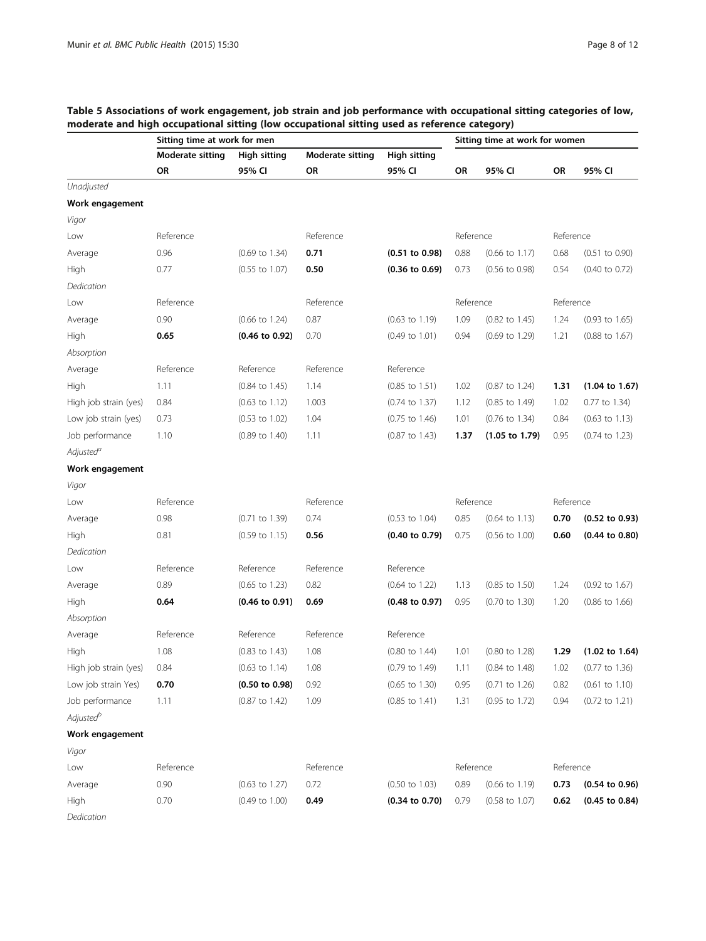|                       | Sitting time at work for men |                           |                         |                           |           | Sitting time at work for women |           |                           |  |
|-----------------------|------------------------------|---------------------------|-------------------------|---------------------------|-----------|--------------------------------|-----------|---------------------------|--|
|                       | <b>Moderate sitting</b>      | <b>High sitting</b>       | <b>Moderate sitting</b> | <b>High sitting</b>       |           |                                |           |                           |  |
|                       | OR                           | 95% CI                    | OR                      | 95% CI                    | OR        | 95% CI                         | OR        | 95% CI                    |  |
| Unadjusted            |                              |                           |                         |                           |           |                                |           |                           |  |
| Work engagement       |                              |                           |                         |                           |           |                                |           |                           |  |
| Vigor                 |                              |                           |                         |                           |           |                                |           |                           |  |
| Low                   | Reference                    |                           | Reference               |                           | Reference |                                | Reference |                           |  |
| Average               | 0.96                         | $(0.69 \text{ to } 1.34)$ | 0.71                    | $(0.51$ to $0.98)$        | 0.88      | $(0.66 \text{ to } 1.17)$      | 0.68      | $(0.51$ to $0.90)$        |  |
| High                  | 0.77                         | $(0.55$ to $1.07)$        | 0.50                    | $(0.36 \text{ to } 0.69)$ | 0.73      | $(0.56 \text{ to } 0.98)$      | 0.54      | $(0.40 \text{ to } 0.72)$ |  |
| Dedication            |                              |                           |                         |                           |           |                                |           |                           |  |
| Low                   | Reference                    |                           | Reference               |                           | Reference |                                | Reference |                           |  |
| Average               | 0.90                         | $(0.66 \text{ to } 1.24)$ | 0.87                    | $(0.63 \text{ to } 1.19)$ | 1.09      | $(0.82 \text{ to } 1.45)$      | 1.24      | $(0.93 \text{ to } 1.65)$ |  |
| High                  | 0.65                         | $(0.46 \text{ to } 0.92)$ | 0.70                    | $(0.49 \text{ to } 1.01)$ | 0.94      | $(0.69 \text{ to } 1.29)$      | 1.21      | $(0.88 \text{ to } 1.67)$ |  |
| Absorption            |                              |                           |                         |                           |           |                                |           |                           |  |
| Average               | Reference                    | Reference                 | Reference               | Reference                 |           |                                |           |                           |  |
| High                  | 1.11                         | $(0.84 \text{ to } 1.45)$ | 1.14                    | $(0.85 \text{ to } 1.51)$ | 1.02      | $(0.87 \text{ to } 1.24)$      | 1.31      | $(1.04 \text{ to } 1.67)$ |  |
| High job strain (yes) | 0.84                         | $(0.63$ to $1.12)$        | 1.003                   | $(0.74 \text{ to } 1.37)$ | 1.12      | (0.85 to 1.49)                 | 1.02      | 0.77 to 1.34)             |  |
| Low job strain (yes)  | 0.73                         | $(0.53 \text{ to } 1.02)$ | 1.04                    | $(0.75 \text{ to } 1.46)$ | 1.01      | $(0.76 \text{ to } 1.34)$      | 0.84      | $(0.63 \text{ to } 1.13)$ |  |
| Job performance       | 1.10                         | $(0.89 \text{ to } 1.40)$ | 1.11                    | $(0.87 \text{ to } 1.43)$ | 1.37      | $(1.05 \text{ to } 1.79)$      | 0.95      | $(0.74 \text{ to } 1.23)$ |  |
| Adjusted <sup>a</sup> |                              |                           |                         |                           |           |                                |           |                           |  |
| Work engagement       |                              |                           |                         |                           |           |                                |           |                           |  |
| Vigor                 |                              |                           |                         |                           |           |                                |           |                           |  |
| Low                   | Reference                    |                           | Reference               |                           | Reference |                                | Reference |                           |  |
| Average               | 0.98                         | $(0.71$ to 1.39)          | 0.74                    | $(0.53 \text{ to } 1.04)$ | 0.85      | $(0.64 \text{ to } 1.13)$      | 0.70      | $(0.52 \text{ to } 0.93)$ |  |
| High                  | 0.81                         | $(0.59 \text{ to } 1.15)$ | 0.56                    | $(0.40 \text{ to } 0.79)$ | 0.75      | $(0.56 \text{ to } 1.00)$      | 0.60      | $(0.44 \text{ to } 0.80)$ |  |
| Dedication            |                              |                           |                         |                           |           |                                |           |                           |  |
| Low                   | Reference                    | Reference                 | Reference               | Reference                 |           |                                |           |                           |  |
| Average               | 0.89                         | $(0.65 \text{ to } 1.23)$ | 0.82                    | $(0.64 \text{ to } 1.22)$ | 1.13      | $(0.85 \text{ to } 1.50)$      | 1.24      | $(0.92 \text{ to } 1.67)$ |  |
| High                  | 0.64                         | $(0.46 \text{ to } 0.91)$ | 0.69                    | $(0.48 \text{ to } 0.97)$ | 0.95      | $(0.70 \text{ to } 1.30)$      | 1.20      | $(0.86 \text{ to } 1.66)$ |  |
| Absorption            |                              |                           |                         |                           |           |                                |           |                           |  |
| Average               | Reference                    | Reference                 | Reference               | Reference                 |           |                                |           |                           |  |
| High                  | 1.08                         | $(0.83 \text{ to } 1.43)$ | 1.08                    | $(0.80 \text{ to } 1.44)$ | 1.01      | $(0.80 \text{ to } 1.28)$      | 1.29      | $(1.02 \text{ to } 1.64)$ |  |
| High job strain (yes) | 0.84                         | $(0.63 \text{ to } 1.14)$ | 1.08                    | (0.79 to 1.49)            | 1.11      | $(0.84 \text{ to } 1.48)$      | 1.02      | $(0.77$ to 1.36)          |  |
| Low job strain Yes)   | 0.70                         | $(0.50 \text{ to } 0.98)$ | 0.92                    | $(0.65 \text{ to } 1.30)$ | 0.95      | $(0.71$ to 1.26)               | 0.82      | $(0.61$ to $1.10)$        |  |
| Job performance       | 1.11                         | $(0.87$ to $1.42)$        | 1.09                    | $(0.85 \text{ to } 1.41)$ | 1.31      | (0.95 to 1.72)                 | 0.94      | $(0.72 \text{ to } 1.21)$ |  |
| Adjusted <sup>b</sup> |                              |                           |                         |                           |           |                                |           |                           |  |
| Work engagement       |                              |                           |                         |                           |           |                                |           |                           |  |
| Vigor                 |                              |                           |                         |                           |           |                                |           |                           |  |
| Low                   | Reference                    |                           | Reference               |                           | Reference |                                | Reference |                           |  |
| Average               | 0.90                         | $(0.63$ to 1.27)          | 0.72                    | $(0.50 \text{ to } 1.03)$ | 0.89      | $(0.66 \text{ to } 1.19)$      | 0.73      | $(0.54 \text{ to } 0.96)$ |  |
| High                  | 0.70                         | $(0.49 \text{ to } 1.00)$ | 0.49                    | $(0.34 \text{ to } 0.70)$ | 0.79      | $(0.58 \text{ to } 1.07)$      | 0.62      | $(0.45 \text{ to } 0.84)$ |  |
| Dedication            |                              |                           |                         |                           |           |                                |           |                           |  |

## <span id="page-7-0"></span>Table 5 Associations of work engagement, job strain and job performance with occupational sitting categories of low, moderate and high occupational sitting (low occupational sitting used as reference category)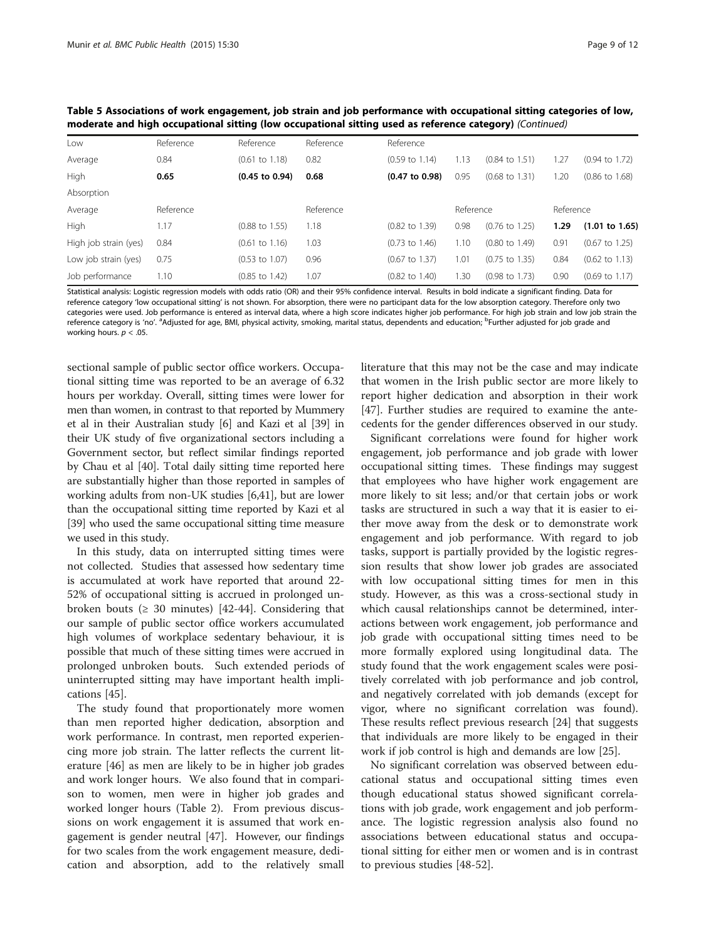| Table 5 Associations of work engagement, job strain and job performance with occupational sitting categories of low, |
|----------------------------------------------------------------------------------------------------------------------|
| moderate and high occupational sitting (low occupational sitting used as reference category) (Continued)             |

| Low                   | Reference | Reference                 | Reference | Reference                 |           |                           |           |                           |
|-----------------------|-----------|---------------------------|-----------|---------------------------|-----------|---------------------------|-----------|---------------------------|
| Average               | 0.84      | $(0.61 \text{ to } 1.18)$ | 0.82      | $(0.59 \text{ to } 1.14)$ | 1.13      | $(0.84 \text{ to } 1.51)$ | 1.27      | $(0.94 \text{ to } 1.72)$ |
| High                  | 0.65      | $(0.45 \text{ to } 0.94)$ | 0.68      | $(0.47 \text{ to } 0.98)$ | 0.95      | $(0.68 \text{ to } 1.31)$ | 1.20      | $(0.86 \text{ to } 1.68)$ |
| Absorption            |           |                           |           |                           |           |                           |           |                           |
| Average               | Reference |                           | Reference |                           | Reference |                           | Reference |                           |
| High                  | 1.17      | $(0.88 \text{ to } 1.55)$ | 1.18      | $(0.82 \text{ to } 1.39)$ | 0.98      | $(0.76 \text{ to } 1.25)$ | 1.29      | $(1.01 \text{ to } 1.65)$ |
| High job strain (yes) | 0.84      | $(0.61 \text{ to } 1.16)$ | 1.03      | $(0.73 \text{ to } 1.46)$ | 1.10      | $(0.80 \text{ to } 1.49)$ | 0.91      | $(0.67 \text{ to } 1.25)$ |
| Low job strain (yes)  | 0.75      | $(0.53 \text{ to } 1.07)$ | 0.96      | $(0.67 \text{ to } 1.37)$ | 1.01      | $(0.75 \text{ to } 1.35)$ | 0.84      | $(0.62 \text{ to } 1.13)$ |
| Job performance       | 1.10      | $(0.85 \text{ to } 1.42)$ | 1.07      | $(0.82 \text{ to } 1.40)$ | .30       | $(0.98 \text{ to } 1.73)$ | 0.90      | $(0.69 \text{ to } 1.17)$ |

Statistical analysis: Logistic regression models with odds ratio (OR) and their 95% confidence interval. Results in bold indicate a significant finding. Data for reference category 'low occupational sitting' is not shown. For absorption, there were no participant data for the low absorption category. Therefore only two categories were used. Job performance is entered as interval data, where a high score indicates higher job performance. For high job strain and low job strain the reference category is 'no'. <sup>a</sup>Adjusted for age, BMI, physical activity, smoking, marital status, dependents and education; <sup>b</sup>Further adjusted for job grade and working hours.  $p < .05$ .

sectional sample of public sector office workers. Occupational sitting time was reported to be an average of 6.32 hours per workday. Overall, sitting times were lower for men than women, in contrast to that reported by Mummery et al in their Australian study [[6\]](#page-10-0) and Kazi et al [[39](#page-11-0)] in their UK study of five organizational sectors including a Government sector, but reflect similar findings reported by Chau et al [\[40](#page-11-0)]. Total daily sitting time reported here are substantially higher than those reported in samples of working adults from non-UK studies [[6,](#page-10-0)[41](#page-11-0)], but are lower than the occupational sitting time reported by Kazi et al [[39](#page-11-0)] who used the same occupational sitting time measure we used in this study.

In this study, data on interrupted sitting times were not collected. Studies that assessed how sedentary time is accumulated at work have reported that around 22- 52% of occupational sitting is accrued in prolonged unbroken bouts ( $\geq$  30 minutes) [[42-44\]](#page-11-0). Considering that our sample of public sector office workers accumulated high volumes of workplace sedentary behaviour, it is possible that much of these sitting times were accrued in prolonged unbroken bouts. Such extended periods of uninterrupted sitting may have important health implications [[45](#page-11-0)].

The study found that proportionately more women than men reported higher dedication, absorption and work performance. In contrast, men reported experiencing more job strain. The latter reflects the current literature [\[46](#page-11-0)] as men are likely to be in higher job grades and work longer hours. We also found that in comparison to women, men were in higher job grades and worked longer hours (Table [2\)](#page-4-0). From previous discussions on work engagement it is assumed that work engagement is gender neutral [[47](#page-11-0)]. However, our findings for two scales from the work engagement measure, dedication and absorption, add to the relatively small literature that this may not be the case and may indicate that women in the Irish public sector are more likely to report higher dedication and absorption in their work [[47\]](#page-11-0). Further studies are required to examine the antecedents for the gender differences observed in our study.

Significant correlations were found for higher work engagement, job performance and job grade with lower occupational sitting times. These findings may suggest that employees who have higher work engagement are more likely to sit less; and/or that certain jobs or work tasks are structured in such a way that it is easier to either move away from the desk or to demonstrate work engagement and job performance. With regard to job tasks, support is partially provided by the logistic regression results that show lower job grades are associated with low occupational sitting times for men in this study. However, as this was a cross-sectional study in which causal relationships cannot be determined, interactions between work engagement, job performance and job grade with occupational sitting times need to be more formally explored using longitudinal data. The study found that the work engagement scales were positively correlated with job performance and job control, and negatively correlated with job demands (except for vigor, where no significant correlation was found). These results reflect previous research [\[24](#page-10-0)] that suggests that individuals are more likely to be engaged in their work if job control is high and demands are low [\[25](#page-10-0)].

No significant correlation was observed between educational status and occupational sitting times even though educational status showed significant correlations with job grade, work engagement and job performance. The logistic regression analysis also found no associations between educational status and occupational sitting for either men or women and is in contrast to previous studies [[48-52](#page-11-0)].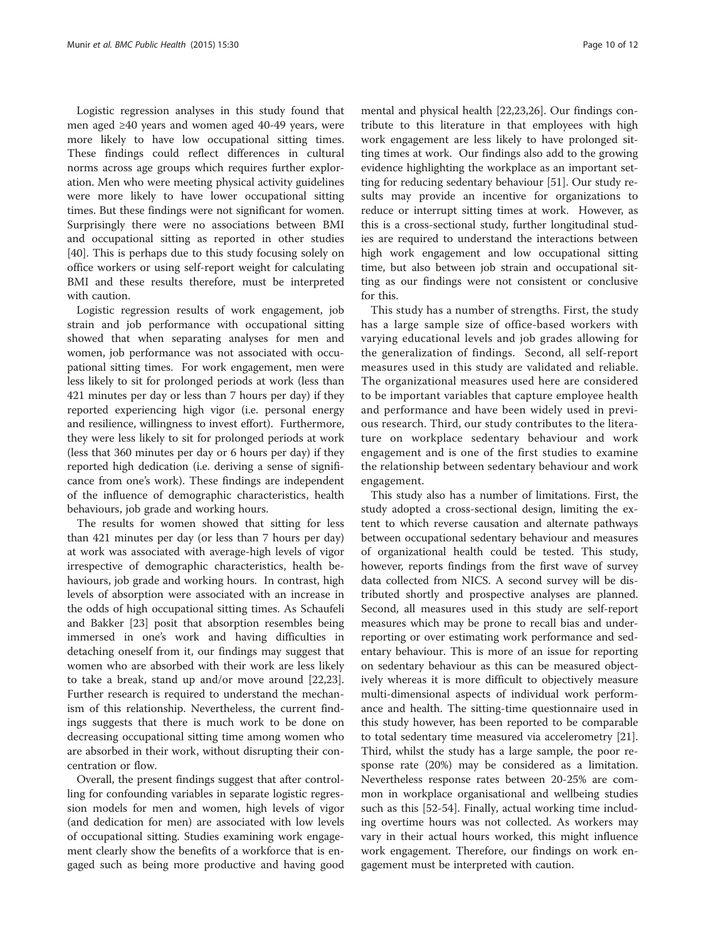Logistic regression analyses in this study found that men aged ≥40 years and women aged 40-49 years, were more likely to have low occupational sitting times. These findings could reflect differences in cultural norms across age groups which requires further exploration. Men who were meeting physical activity guidelines were more likely to have lower occupational sitting times. But these findings were not significant for women. Surprisingly there were no associations between BMI and occupational sitting as reported in other studies [[40\]](#page-11-0). This is perhaps due to this study focusing solely on office workers or using self-report weight for calculating BMI and these results therefore, must be interpreted with caution.

Logistic regression results of work engagement, job strain and job performance with occupational sitting showed that when separating analyses for men and women, job performance was not associated with occupational sitting times. For work engagement, men were less likely to sit for prolonged periods at work (less than 421 minutes per day or less than 7 hours per day) if they reported experiencing high vigor (i.e. personal energy and resilience, willingness to invest effort). Furthermore, they were less likely to sit for prolonged periods at work (less that 360 minutes per day or 6 hours per day) if they reported high dedication (i.e. deriving a sense of significance from one's work). These findings are independent of the influence of demographic characteristics, health behaviours, job grade and working hours.

The results for women showed that sitting for less than 421 minutes per day (or less than 7 hours per day) at work was associated with average-high levels of vigor irrespective of demographic characteristics, health behaviours, job grade and working hours. In contrast, high levels of absorption were associated with an increase in the odds of high occupational sitting times. As Schaufeli and Bakker [\[23](#page-10-0)] posit that absorption resembles being immersed in one's work and having difficulties in detaching oneself from it, our findings may suggest that women who are absorbed with their work are less likely to take a break, stand up and/or move around [\[22,23](#page-10-0)]. Further research is required to understand the mechanism of this relationship. Nevertheless, the current findings suggests that there is much work to be done on decreasing occupational sitting time among women who are absorbed in their work, without disrupting their concentration or flow.

Overall, the present findings suggest that after controlling for confounding variables in separate logistic regression models for men and women, high levels of vigor (and dedication for men) are associated with low levels of occupational sitting. Studies examining work engagement clearly show the benefits of a workforce that is engaged such as being more productive and having good mental and physical health [[22,23,26\]](#page-10-0). Our findings con-

tribute to this literature in that employees with high work engagement are less likely to have prolonged sitting times at work. Our findings also add to the growing evidence highlighting the workplace as an important setting for reducing sedentary behaviour [[51](#page-11-0)]. Our study results may provide an incentive for organizations to reduce or interrupt sitting times at work. However, as this is a cross-sectional study, further longitudinal studies are required to understand the interactions between high work engagement and low occupational sitting time, but also between job strain and occupational sitting as our findings were not consistent or conclusive for this.

This study has a number of strengths. First, the study has a large sample size of office-based workers with varying educational levels and job grades allowing for the generalization of findings. Second, all self-report measures used in this study are validated and reliable. The organizational measures used here are considered to be important variables that capture employee health and performance and have been widely used in previous research. Third, our study contributes to the literature on workplace sedentary behaviour and work engagement and is one of the first studies to examine the relationship between sedentary behaviour and work engagement.

This study also has a number of limitations. First, the study adopted a cross-sectional design, limiting the extent to which reverse causation and alternate pathways between occupational sedentary behaviour and measures of organizational health could be tested. This study, however, reports findings from the first wave of survey data collected from NICS. A second survey will be distributed shortly and prospective analyses are planned. Second, all measures used in this study are self-report measures which may be prone to recall bias and underreporting or over estimating work performance and sedentary behaviour. This is more of an issue for reporting on sedentary behaviour as this can be measured objectively whereas it is more difficult to objectively measure multi-dimensional aspects of individual work performance and health. The sitting-time questionnaire used in this study however, has been reported to be comparable to total sedentary time measured via accelerometry [\[21](#page-10-0)]. Third, whilst the study has a large sample, the poor response rate (20%) may be considered as a limitation. Nevertheless response rates between 20-25% are common in workplace organisational and wellbeing studies such as this [[52-54\]](#page-11-0). Finally, actual working time including overtime hours was not collected. As workers may vary in their actual hours worked, this might influence work engagement. Therefore, our findings on work engagement must be interpreted with caution.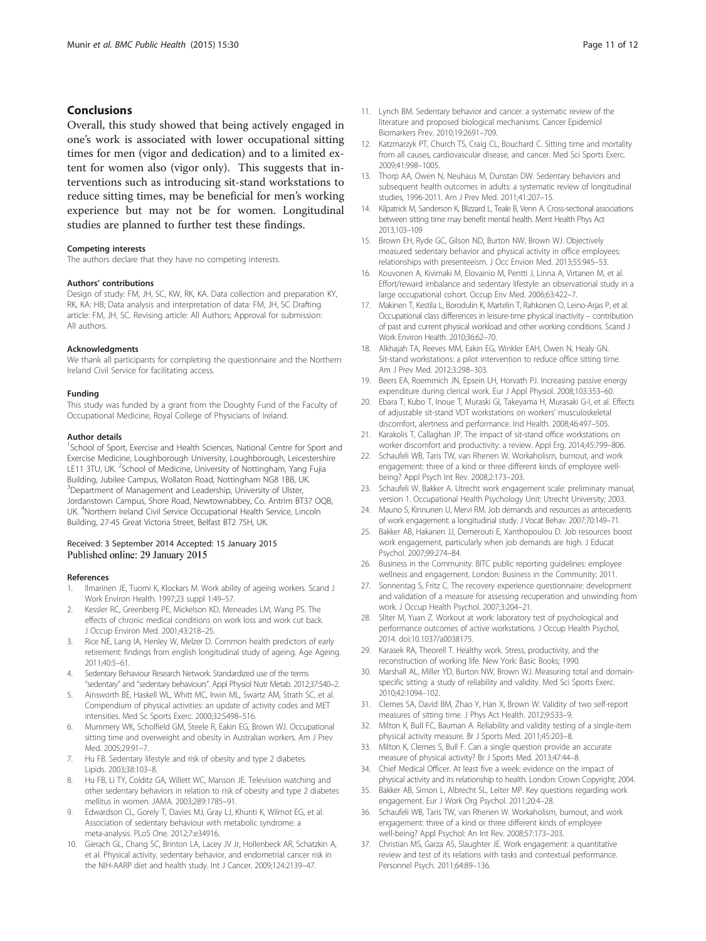### <span id="page-10-0"></span>Conclusions

Overall, this study showed that being actively engaged in one's work is associated with lower occupational sitting times for men (vigor and dedication) and to a limited extent for women also (vigor only). This suggests that interventions such as introducing sit-stand workstations to reduce sitting times, may be beneficial for men's working experience but may not be for women. Longitudinal studies are planned to further test these findings.

#### Competing interests

The authors declare that they have no competing interests.

#### Authors' contributions

Design of study: FM, JH, SC, KW, RK, KA. Data collection and preparation KY, RK, KA: HB; Data analysis and interpretation of data: FM, JH, SC Drafting article: FM, JH, SC. Revising article: All Authors; Approval for submission: All authors.

#### **Acknowledgments**

We thank all participants for completing the questionnaire and the Northern Ireland Civil Service for facilitating access.

#### Funding

This study was funded by a grant from the Doughty Fund of the Faculty of Occupational Medicine, Royal College of Physicians of Ireland.

#### Author details

<sup>1</sup>School of Sport, Exercise and Health Sciences, National Centre for Sport and Exercise Medicine, Loughborough University, Loughborough, Leicestershire LE11 3TU, UK. <sup>2</sup>School of Medicine, University of Nottingham, Yang Fujia Building, Jubilee Campus, Wollaton Road, Nottingham NG8 1BB, UK. <sup>3</sup>Department of Management and Leadership, University of Ulster, Jordanstown Campus, Shore Road, Newtownabbey, Co. Antrim BT37 OQB, UK. <sup>4</sup>Northern Ireland Civil Service Occupational Health Service, Lincoln Building, 27-45 Great Victoria Street, Belfast BT2 7SH, UK.

#### Received: 3 September 2014 Accepted: 15 January 2015 Published online: 29 January 2015

#### References

- Ilmarinen JE, Tuomi K, Klockars M. Work ability of ageing workers. Scand J Work Environ Health. 1997;23 suppl 1:49–57.
- 2. Kessler RC, Greenberg PE, Mickelson KD, Meneades LM, Wang PS. The effects of chronic medical conditions on work loss and work cut back. J Occup Environ Med. 2001;43:218–25.
- 3. Rice NE, Lang IA, Henley W, Melzer D. Common health predictors of early retirement: findings from english longitudinal study of ageing. Age Ageing. 2011;40:5–61.
- 4. Sedentary Behaviour Research Network. Standardized use of the terms "sedentary" and "sedentary behaviours". Appl Physiol Nutr Metab. 2012;37:540–2.
- 5. Ainsworth BE, Haskell WL, Whitt MC, Irwin ML, Swartz AM, Strath SC, et al. Compendium of physical activities: an update of activity codes and MET intensities. Med Sc Sports Exerc. 2000;32:S498–516.
- 6. Mummery WK, Scholfield GM, Steele R, Eakin EG, Brown WJ. Occupational sitting time and overweight and obesity in Australian workers. Am J Prev Med. 2005;29:91–7.
- 7. Hu FB. Sedentary lifestyle and risk of obesity and type 2 diabetes. Lipids. 2003;38:103–8.
- 8. Hu FB, Li TY, Colditz GA, Willett WC, Manson JE. Television watching and other sedentary behaviors in relation to risk of obesity and type 2 diabetes mellitus in women. JAMA. 2003;289:1785–91.
- 9. Edwardson CL, Gorely T, Davies MJ, Gray LJ, Khunti K, Wilmot EG, et al. Association of sedentary behaviour with metabolic syndrome: a meta-analysis. PLoS One. 2012;7:e34916.
- 10. Gierach GL, Chang SC, Brinton LA, Lacey JV Jr, Hollenbeck AR, Schatzkin A, et al. Physical activity, sedentary behavior, and endometrial cancer risk in the NIH-AARP diet and health study. Int J Cancer. 2009;124:2139–47.
- 11. Lynch BM. Sedentary behavior and cancer: a systematic review of the literature and proposed biological mechanisms. Cancer Epidemiol Biomarkers Prev. 2010;19:2691–709.
- 12. Katzmarzyk PT, Church TS, Craig CL, Bouchard C. Sitting time and mortality from all causes, cardiovascular disease, and cancer. Med Sci Sports Exerc. 2009;41:998–1005.
- 13. Thorp AA, Owen N, Neuhaus M, Dunstan DW. Sedentary behaviors and subsequent health outcomes in adults: a systematic review of longitudinal studies, 1996-2011. Am J Prev Med. 2011;41:207–15.
- 14. Kilpatrick M, Sanderson K, Blizzard L, Teale B, Venn A. Cross-sectional associations between sitting time may benefit mental health. Ment Health Phys Act 2013,103–109
- 15. Brown EH, Ryde GC, Gilson ND, Burton NW, Brown WJ. Objectively measured sedentary behavior and physical activity in office employees: relationships with presenteeism. J Occ Envion Med. 2013;55:945–53.
- 16. Kouvonen A, Kivimaki M, Elovainio M, Pentti J, Linna A, Virtanen M, et al. Effort/reward imbalance and sedentary lifestyle: an observational study in a large occupational cohort. Occup Env Med. 2006;63:422–7.
- 17. Makinen T, Kestila L, Borodulin K, Martelin T, Rahkonen O, Leino-Arjas P, et al. Occupational class differences in leisure-time physical inactivity – contribution of past and current physical workload and other working conditions. Scand J Work Environ Health. 2010;36:62–70.
- 18. Alkhajah TA, Reeves MM, Eakin EG, Winkler EAH, Owen N, Healy GN. Sit-stand workstations: a pilot intervention to reduce office sitting time. Am J Prev Med. 2012;3:298–303.
- 19. Beers EA, Roemmich JN, Epsein LH, Horvath PJ. Increasing passive energy expenditure during clerical work. Eur J Appl Physiol. 2008;103:353–60.
- 20. Ebara T, Kubo T, Inoue T, Muraski GI, Takeyama H, Murasaki G-I, et al. Effects of adjustable sit-stand VDT workstations on workers' musculoskeletal discomfort, alertness and performance. Ind Health. 2008;46:497–505.
- 21. Karakolis T, Callaghan JP. The impact of sit-stand office workstations on worker discomfort and productivity: a review. Appl Erg. 2014;45:799–806.
- 22. Schaufeli WB, Taris TW, van Rhenen W. Workaholism, burnout, and work engagement: three of a kind or three different kinds of employee wellbeing? Appl Psych Int Rev. 2008;2:173–203.
- 23. Schaufeli W, Bakker A. Utrecht work engagement scale: preliminary manual, version 1. Occupational Health Psychology Unit: Utrecht University; 2003.
- 24. Mauno S, Kinnunen U, Mervi RM. Job demands and resources as antecedents of work engagement: a longitudinal study. J Vocat Behav. 2007;70:149–71.
- 25. Bakker AB, Hakanen JJ, Demerouti E, Xanthopoulou D. Job resources boost work engagement, particularly when job demands are high. J Educat Psychol. 2007;99:274–84.
- 26. Business in the Community. BITC public reporting guidelines: employee wellness and engagement. London: Business in the Community; 2011.
- 27. Sonnentag S, Fritz C. The recovery experience questionnaire: development and validation of a measure for assessing recuperation and unwinding from work. J Occup Health Psychol. 2007;3:204–21.
- 28. Sliter M, Yuan Z. Workout at work: laboratory test of psychological and performance outcomes of active workstations. J Occup Health Psychol, 2014. doi:10.1037/a0038175.
- 29. Karasek RA, Theorell T. Healthy work. Stress, productivity, and the reconstruction of working life. New York: Basic Books; 1990.
- 30. Marshall AL, Miller YD, Burton NW, Brown WJ. Measuring total and domainspecific sitting: a study of reliability and validity. Med Sci Sports Exerc. 2010;42:1094–102.
- 31. Clemes SA, David BM, Zhao Y, Han X, Brown W. Validity of two self-report measures of sitting time. J Phys Act Health. 2012;9:533–9.
- 32. Milton K, Bull FC, Bauman A. Reliability and validity testing of a single-item physical activity measure. Br J Sports Med. 2011;45:203–8.
- 33. Milton K, Clemes S, Bull F. Can a single question provide an accurate measure of physical activity? Br J Sports Med. 2013;47:44–8.
- 34. Chief Medical Officer. At least five a week: evidence on the impact of physical activity and its relationship to health. London: Crown Copyright; 2004.
- 35. Bakker AB, Simon L, Albrecht SL, Leiter MP. Key questions regarding work engagement. Eur J Work Org Psychol. 2011;20:4–28.
- 36. Schaufeli WB, Taris TW, van Rhenen W. Workaholism, burnout, and work engagement: three of a kind or three different kinds of employee well-being? Appl Psychol: An Int Rev. 2008;57:173–203.
- 37. Christian MS, Garza AS, Slaughter JE. Work engagement: a quantitative review and test of its relations with tasks and contextual performance. Personnel Psych. 2011;64:89–136.